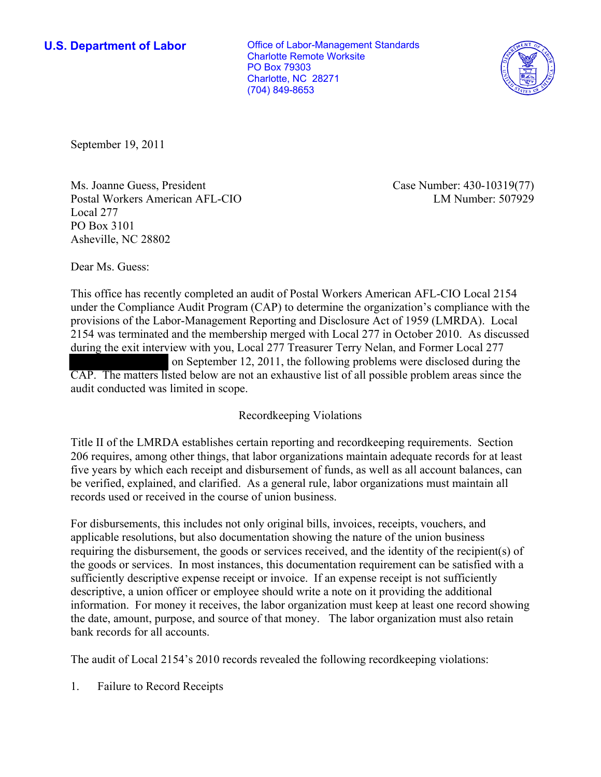**U.S. Department of Labor Conservative Conservative Conservative Conservative Conservative Conservative Conservative Conservative Conservative Conservative Conservative Conservative Conservative Conservative Conservative** Charlotte Remote Worksite PO Box 79303 Charlotte, NC 28271 (704) 849-8653



September 19, 2011

Ms. Joanne Guess, President Postal Workers American AFL-CIO Local 277 PO Box 3101 Asheville, NC 28802

Case Number: 430-10319(77) LM Number: 507929

Dear Ms. Guess:

This office has recently completed an audit of Postal Workers American AFL-CIO Local 2154 under the Compliance Audit Program (CAP) to determine the organization's compliance with the provisions of the Labor-Management Reporting and Disclosure Act of 1959 (LMRDA). Local 2154 was terminated and the membership merged with Local 277 in October 2010. As discussed during the exit interview with you, Local 277 Treasurer Terry Nelan, and Former Local 277 on September 12, 2011, the following problems were disclosed during the CAP. The matters listed below are not an exhaustive list of all possible problem areas since the audit conducted was limited in scope.

## Recordkeeping Violations

Title II of the LMRDA establishes certain reporting and recordkeeping requirements. Section 206 requires, among other things, that labor organizations maintain adequate records for at least five years by which each receipt and disbursement of funds, as well as all account balances, can be verified, explained, and clarified. As a general rule, labor organizations must maintain all records used or received in the course of union business.

For disbursements, this includes not only original bills, invoices, receipts, vouchers, and applicable resolutions, but also documentation showing the nature of the union business requiring the disbursement, the goods or services received, and the identity of the recipient(s) of the goods or services. In most instances, this documentation requirement can be satisfied with a sufficiently descriptive expense receipt or invoice. If an expense receipt is not sufficiently descriptive, a union officer or employee should write a note on it providing the additional information. For money it receives, the labor organization must keep at least one record showing the date, amount, purpose, and source of that money. The labor organization must also retain bank records for all accounts.

The audit of Local 2154's 2010 records revealed the following recordkeeping violations:

1. Failure to Record Receipts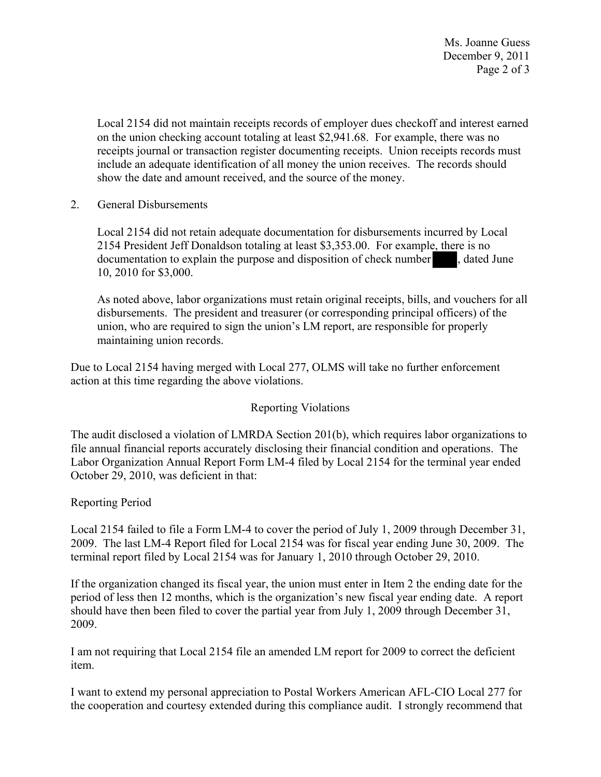Ms. Joanne Guess December 9, 2011 Page 2 of 3

Local 2154 did not maintain receipts records of employer dues checkoff and interest earned on the union checking account totaling at least \$2,941.68. For example, there was no receipts journal or transaction register documenting receipts. Union receipts records must include an adequate identification of all money the union receives. The records should show the date and amount received, and the source of the money.

2. General Disbursements

Local 2154 did not retain adequate documentation for disbursements incurred by Local 2154 President Jeff Donaldson totaling at least \$3,353.00. For example, there is no documentation to explain the purpose and disposition of check number , dated June 10, 2010 for \$3,000.

As noted above, labor organizations must retain original receipts, bills, and vouchers for all disbursements. The president and treasurer (or corresponding principal officers) of the union, who are required to sign the union's LM report, are responsible for properly maintaining union records.

Due to Local 2154 having merged with Local 277, OLMS will take no further enforcement action at this time regarding the above violations.

## Reporting Violations

The audit disclosed a violation of LMRDA Section 201(b), which requires labor organizations to file annual financial reports accurately disclosing their financial condition and operations. The Labor Organization Annual Report Form LM-4 filed by Local 2154 for the terminal year ended October 29, 2010, was deficient in that:

## Reporting Period

Local 2154 failed to file a Form LM-4 to cover the period of July 1, 2009 through December 31, 2009. The last LM-4 Report filed for Local 2154 was for fiscal year ending June 30, 2009. The terminal report filed by Local 2154 was for January 1, 2010 through October 29, 2010.

If the organization changed its fiscal year, the union must enter in Item 2 the ending date for the period of less then 12 months, which is the organization's new fiscal year ending date. A report should have then been filed to cover the partial year from July 1, 2009 through December 31, 2009.

I am not requiring that Local 2154 file an amended LM report for 2009 to correct the deficient item.

I want to extend my personal appreciation to Postal Workers American AFL-CIO Local 277 for the cooperation and courtesy extended during this compliance audit. I strongly recommend that